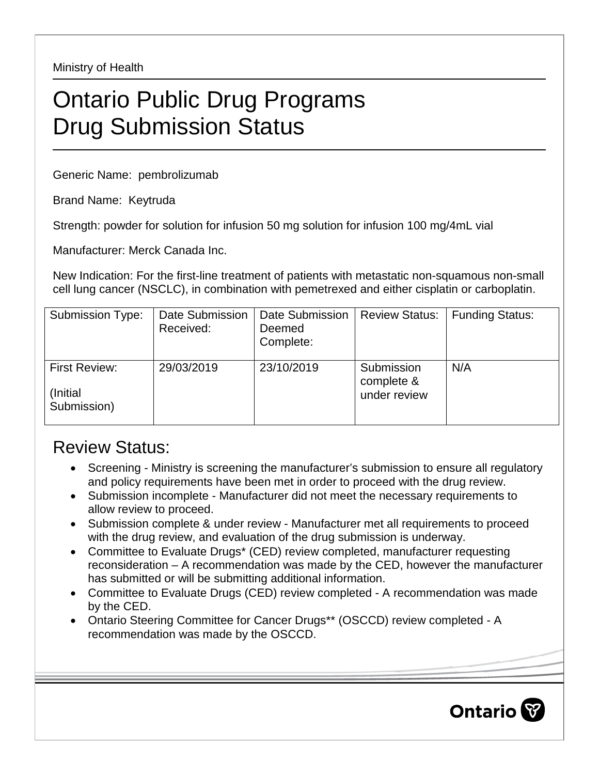Ministry of Health

## Ontario Public Drug Programs Drug Submission Status

Generic Name: pembrolizumab

Brand Name: Keytruda

Strength: powder for solution for infusion 50 mg solution for infusion 100 mg/4mL vial

Manufacturer: Merck Canada Inc.

New Indication: For the first-line treatment of patients with metastatic non-squamous non-small cell lung cancer (NSCLC), in combination with pemetrexed and either cisplatin or carboplatin.

| Submission Type:                                 | Date Submission<br>Received: | Date Submission<br>Deemed<br>Complete: | <b>Review Status:</b>                    | Eunding Status: |
|--------------------------------------------------|------------------------------|----------------------------------------|------------------------------------------|-----------------|
| <b>First Review:</b><br>(Initial)<br>Submission) | 29/03/2019                   | 23/10/2019                             | Submission<br>complete &<br>under review | N/A             |

## Review Status:

- Screening Ministry is screening the manufacturer's submission to ensure all regulatory and policy requirements have been met in order to proceed with the drug review.
- Submission incomplete Manufacturer did not meet the necessary requirements to allow review to proceed.
- Submission complete & under review Manufacturer met all requirements to proceed with the drug review, and evaluation of the drug submission is underway.
- Committee to Evaluate Drugs\* (CED) review completed, manufacturer requesting reconsideration – A recommendation was made by the CED, however the manufacturer has submitted or will be submitting additional information.
- Committee to Evaluate Drugs (CED) review completed A recommendation was made by the CED.
- Ontario Steering Committee for Cancer Drugs\*\* (OSCCD) review completed A recommendation was made by the OSCCD.